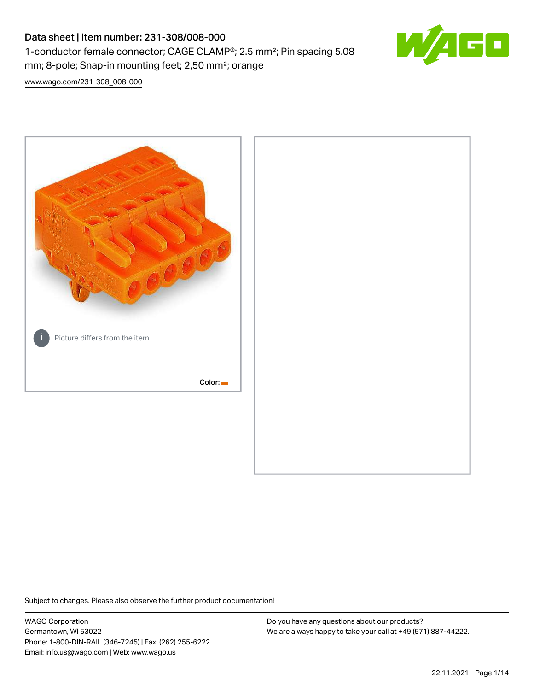# Data sheet | Item number: 231-308/008-000 1-conductor female connector; CAGE CLAMP®; 2.5 mm²; Pin spacing 5.08 mm; 8-pole; Snap-in mounting feet; 2,50 mm²; orange



[www.wago.com/231-308\\_008-000](http://www.wago.com/231-308_008-000)



Subject to changes. Please also observe the further product documentation!

WAGO Corporation Germantown, WI 53022 Phone: 1-800-DIN-RAIL (346-7245) | Fax: (262) 255-6222 Email: info.us@wago.com | Web: www.wago.us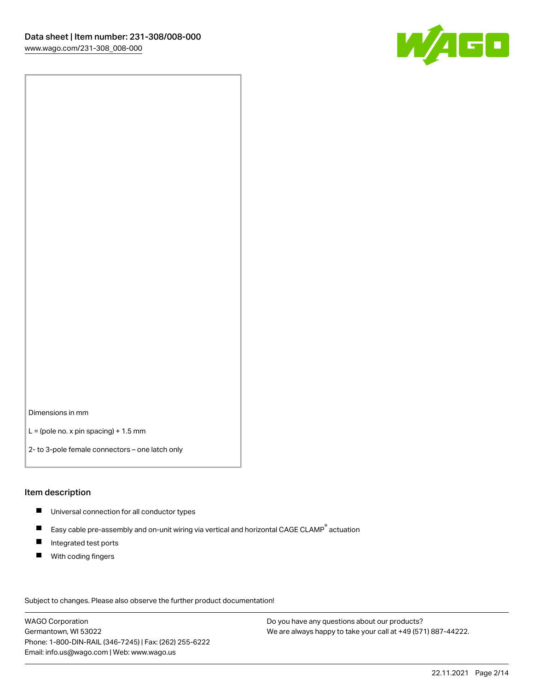

Dimensions in mm

 $L =$  (pole no. x pin spacing) + 1.5 mm

2- to 3-pole female connectors – one latch only

#### Item description

- **Universal connection for all conductor types**
- Easy cable pre-assembly and on-unit wiring via vertical and horizontal CAGE CLAMP<sup>®</sup> actuation  $\blacksquare$
- $\blacksquare$ Integrated test ports
- $\blacksquare$ With coding fingers

Subject to changes. Please also observe the further product documentation! Data

WAGO Corporation Germantown, WI 53022 Phone: 1-800-DIN-RAIL (346-7245) | Fax: (262) 255-6222 Email: info.us@wago.com | Web: www.wago.us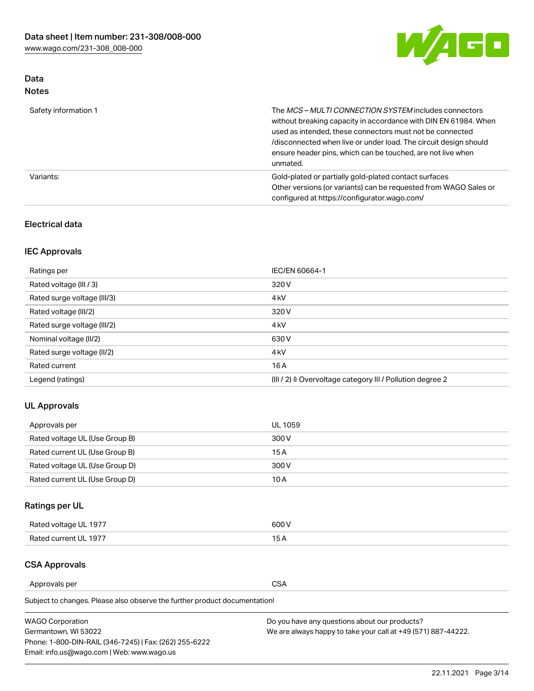

# Data Notes

| Safety information 1 | The MCS-MULTI CONNECTION SYSTEM includes connectors<br>without breaking capacity in accordance with DIN EN 61984. When<br>used as intended, these connectors must not be connected<br>/disconnected when live or under load. The circuit design should<br>ensure header pins, which can be touched, are not live when<br>unmated. |
|----------------------|-----------------------------------------------------------------------------------------------------------------------------------------------------------------------------------------------------------------------------------------------------------------------------------------------------------------------------------|
| Variants:            | Gold-plated or partially gold-plated contact surfaces<br>Other versions (or variants) can be requested from WAGO Sales or<br>configured at https://configurator.wago.com/                                                                                                                                                         |

# Electrical data

# IEC Approvals

| Ratings per                 | IEC/EN 60664-1                                                        |
|-----------------------------|-----------------------------------------------------------------------|
| Rated voltage (III / 3)     | 320 V                                                                 |
| Rated surge voltage (III/3) | 4 <sub>k</sub> V                                                      |
| Rated voltage (III/2)       | 320 V                                                                 |
| Rated surge voltage (III/2) | 4 <sub>k</sub> V                                                      |
| Nominal voltage (II/2)      | 630 V                                                                 |
| Rated surge voltage (II/2)  | 4 <sub>k</sub> V                                                      |
| Rated current               | 16A                                                                   |
| Legend (ratings)            | $(III / 2)$ $\triangle$ Overvoltage category III / Pollution degree 2 |

# UL Approvals

| Approvals per                  | UL 1059 |
|--------------------------------|---------|
| Rated voltage UL (Use Group B) | 300 V   |
| Rated current UL (Use Group B) | 15 A    |
| Rated voltage UL (Use Group D) | 300 V   |
| Rated current UL (Use Group D) | 10 A    |

# Ratings per UL

| Rated voltage UL 1977 | 600 V         |
|-----------------------|---------------|
| Rated current UL 1977 | $\sim$ $\sim$ |

# CSA Approvals

Approvals per CSA

Subject to changes. Please also observe the further product documentation!

| <b>WAGO Corporation</b>                                | Do you have any questions about our products?                 |
|--------------------------------------------------------|---------------------------------------------------------------|
| Germantown, WI 53022                                   | We are always happy to take your call at +49 (571) 887-44222. |
| Phone: 1-800-DIN-RAIL (346-7245)   Fax: (262) 255-6222 |                                                               |
| Email: info.us@wago.com   Web: www.wago.us             |                                                               |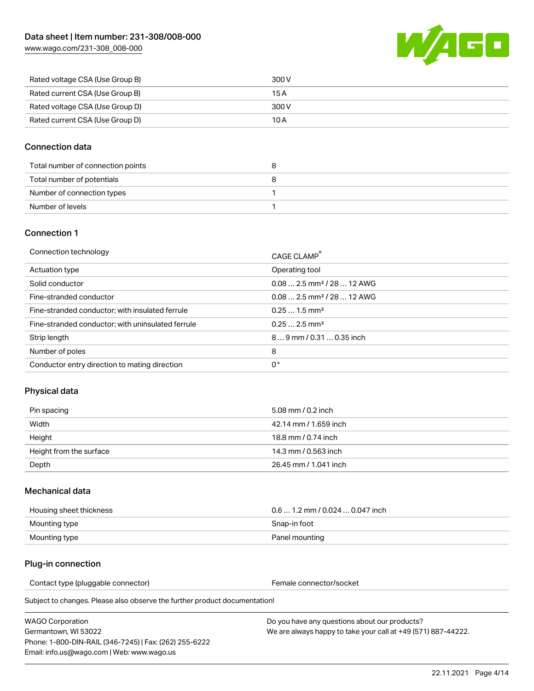[www.wago.com/231-308\\_008-000](http://www.wago.com/231-308_008-000)



| Rated voltage CSA (Use Group B) | 300 V |
|---------------------------------|-------|
| Rated current CSA (Use Group B) | 15 A  |
| Rated voltage CSA (Use Group D) | 300 V |
| Rated current CSA (Use Group D) | 10 A  |

### Connection data

| Total number of connection points |  |
|-----------------------------------|--|
| Total number of potentials        |  |
| Number of connection types        |  |
| Number of levels                  |  |

### Connection 1

| Connection technology                             | CAGE CLAMP®                            |
|---------------------------------------------------|----------------------------------------|
| Actuation type                                    | Operating tool                         |
| Solid conductor                                   | $0.082.5$ mm <sup>2</sup> / 28  12 AWG |
| Fine-stranded conductor                           | $0.082.5$ mm <sup>2</sup> / 28  12 AWG |
| Fine-stranded conductor; with insulated ferrule   | $0.251.5$ mm <sup>2</sup>              |
| Fine-stranded conductor; with uninsulated ferrule | $0.252.5$ mm <sup>2</sup>              |
| Strip length                                      | $89$ mm $/ 0.310.35$ inch              |
| Number of poles                                   | 8                                      |
| Conductor entry direction to mating direction     | 0°                                     |

# Physical data

| Pin spacing             | 5.08 mm / 0.2 inch    |
|-------------------------|-----------------------|
| Width                   | 42.14 mm / 1.659 inch |
| Height                  | 18.8 mm / 0.74 inch   |
| Height from the surface | 14.3 mm / 0.563 inch  |
| Depth                   | 26.45 mm / 1.041 inch |

### Mechanical data

| Housing sheet thickness | $0.61.2$ mm $/0.0240.047$ inch |
|-------------------------|--------------------------------|
| Mounting type           | Snap-in foot                   |
| Mounting type           | Panel mounting                 |

### Plug-in connection

Contact type (pluggable connector) example a set of the Female connector/socket

Subject to changes. Please also observe the further product documentation!

WAGO Corporation Germantown, WI 53022 Phone: 1-800-DIN-RAIL (346-7245) | Fax: (262) 255-6222 Email: info.us@wago.com | Web: www.wago.us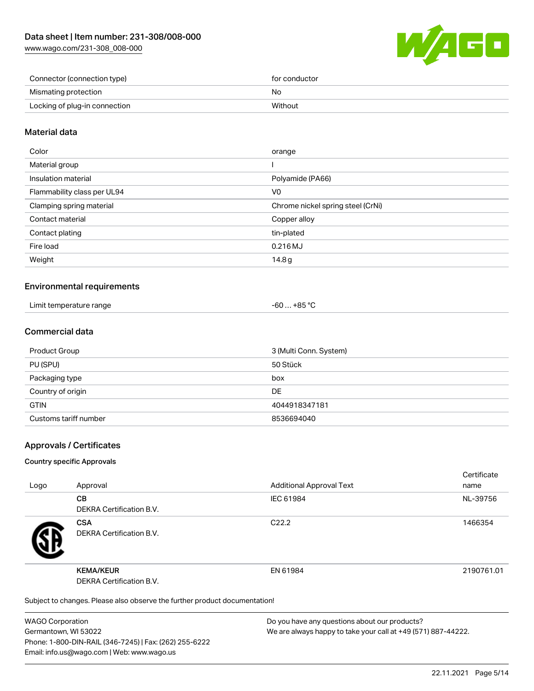[www.wago.com/231-308\\_008-000](http://www.wago.com/231-308_008-000)



| Connector (connection type)   | for conductor |
|-------------------------------|---------------|
| Mismating protection          | No            |
| Locking of plug-in connection | Without       |

### Material data

| Color                       | orange                            |
|-----------------------------|-----------------------------------|
| Material group              |                                   |
| Insulation material         | Polyamide (PA66)                  |
| Flammability class per UL94 | V0                                |
| Clamping spring material    | Chrome nickel spring steel (CrNi) |
| Contact material            | Copper alloy                      |
| Contact plating             | tin-plated                        |
| Fire load                   | 0.216 MJ                          |
| Weight                      | 14.8 <sub>g</sub>                 |
|                             |                                   |

### Environmental requirements

| Limit temperature range | ⊥+85 °C<br>co<br>-ou |  |
|-------------------------|----------------------|--|
|-------------------------|----------------------|--|

### Commercial data

| Product Group         | 3 (Multi Conn. System) |
|-----------------------|------------------------|
| PU (SPU)              | 50 Stück               |
| Packaging type        | box                    |
| Country of origin     | DE                     |
| <b>GTIN</b>           | 4044918347181          |
| Customs tariff number | 8536694040             |

### Approvals / Certificates

#### Country specific Approvals

| Logo | Approval                                                                   | <b>Additional Approval Text</b> | Certificate<br>name |
|------|----------------------------------------------------------------------------|---------------------------------|---------------------|
|      | <b>CB</b><br><b>DEKRA Certification B.V.</b>                               | IEC 61984                       | NL-39756            |
|      | <b>CSA</b><br>DEKRA Certification B.V.                                     | C <sub>22.2</sub>               | 1466354             |
|      | <b>KEMA/KEUR</b><br>DEKRA Certification B.V.                               | EN 61984                        | 2190761.01          |
|      | Subject to changes. Please also observe the further product documentation! |                                 |                     |

WAGO Corporation Germantown, WI 53022 Phone: 1-800-DIN-RAIL (346-7245) | Fax: (262) 255-6222 Email: info.us@wago.com | Web: www.wago.us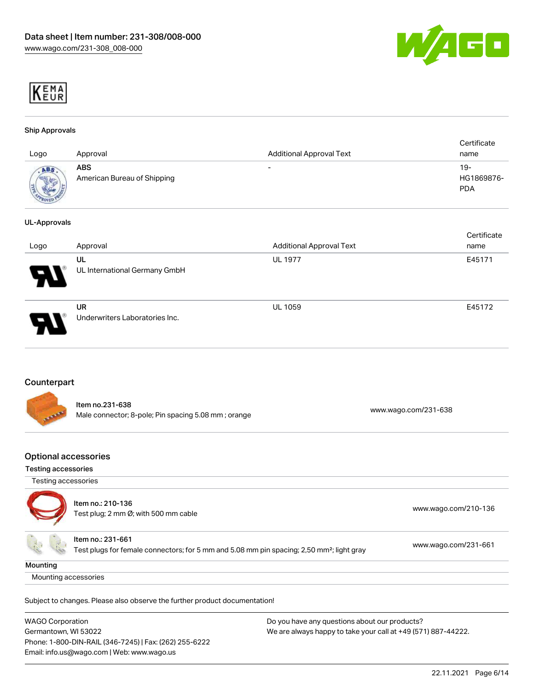



#### Ship Approvals

| Logo                  | Approval                                  | <b>Additional Approval Text</b> | Certificate<br>name               |
|-----------------------|-------------------------------------------|---------------------------------|-----------------------------------|
| ABS<br><b>COMMENT</b> | <b>ABS</b><br>American Bureau of Shipping | $\overline{\phantom{0}}$        | $19-$<br>HG1869876-<br><b>PDA</b> |

#### UL-Approvals

| Logo | Approval                             | <b>Additional Approval Text</b> | Certificate<br>name |
|------|--------------------------------------|---------------------------------|---------------------|
| Ъ.   | UL<br>UL International Germany GmbH  | <b>UL 1977</b>                  | E45171              |
|      | UR<br>Underwriters Laboratories Inc. | <b>UL 1059</b>                  | E45172              |

### Counterpart

| <b>STARFE</b> | Item no.231-638<br>Male connector; 8-pole; Pin spacing 5.08 mm; orange | www.wago.com/231-638 |
|---------------|------------------------------------------------------------------------|----------------------|
|               |                                                                        |                      |

### Optional accessories

# Testing accessories

| Testing accessories |
|---------------------|



| ltem no.: 210-136<br>Test plug; 2 mm Ø; with 500 mm cable                                                                  | www.wago.com/210-136 |
|----------------------------------------------------------------------------------------------------------------------------|----------------------|
| Item no.: 231-661<br>Test plugs for female connectors; for 5 mm and 5.08 mm pin spacing; 2,50 mm <sup>2</sup> ; light gray | www.wago.com/231-661 |

#### **Mounting**

Mounting accessories

Subject to changes. Please also observe the further product documentation!

| <b>WAGO Corporation</b>                                | Do you have any questions about our products?                 |
|--------------------------------------------------------|---------------------------------------------------------------|
| Germantown, WI 53022                                   | We are always happy to take your call at +49 (571) 887-44222. |
| Phone: 1-800-DIN-RAIL (346-7245)   Fax: (262) 255-6222 |                                                               |
| Email: info.us@wago.com   Web: www.wago.us             |                                                               |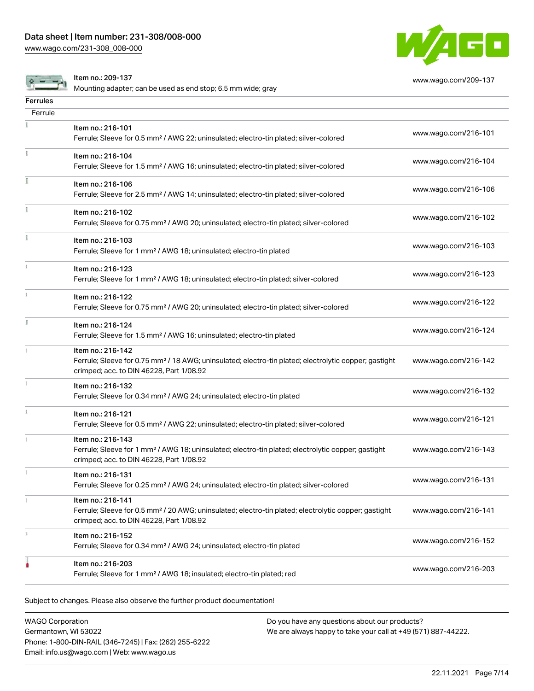[www.wago.com/231-308\\_008-000](http://www.wago.com/231-308_008-000)



[www.wago.com/209-137](http://www.wago.com/209-137)

Item no.: 209-137

Mounting adapter; can be used as end stop; 6.5 mm wide; gray

| <b>Ferrules</b> |                                                                                                                                                              |                      |
|-----------------|--------------------------------------------------------------------------------------------------------------------------------------------------------------|----------------------|
| Ferrule         |                                                                                                                                                              |                      |
|                 | Item no.: 216-101                                                                                                                                            | www.wago.com/216-101 |
|                 | Ferrule; Sleeve for 0.5 mm <sup>2</sup> / AWG 22; uninsulated; electro-tin plated; silver-colored                                                            |                      |
|                 | Item no.: 216-104                                                                                                                                            |                      |
|                 | Ferrule; Sleeve for 1.5 mm <sup>2</sup> / AWG 16; uninsulated; electro-tin plated; silver-colored                                                            | www.wago.com/216-104 |
| I               | Item no.: 216-106                                                                                                                                            |                      |
|                 | Ferrule; Sleeve for 2.5 mm <sup>2</sup> / AWG 14; uninsulated; electro-tin plated; silver-colored                                                            | www.wago.com/216-106 |
| ĩ.              | Item no.: 216-102                                                                                                                                            |                      |
|                 | Ferrule; Sleeve for 0.75 mm <sup>2</sup> / AWG 20; uninsulated; electro-tin plated; silver-colored                                                           | www.wago.com/216-102 |
|                 | Item no.: 216-103                                                                                                                                            |                      |
|                 | Ferrule; Sleeve for 1 mm <sup>2</sup> / AWG 18; uninsulated; electro-tin plated                                                                              | www.wago.com/216-103 |
|                 | Item no.: 216-123                                                                                                                                            |                      |
|                 | Ferrule; Sleeve for 1 mm <sup>2</sup> / AWG 18; uninsulated; electro-tin plated; silver-colored                                                              | www.wago.com/216-123 |
| î.              | Item no.: 216-122                                                                                                                                            |                      |
|                 | Ferrule; Sleeve for 0.75 mm <sup>2</sup> / AWG 20; uninsulated; electro-tin plated; silver-colored                                                           | www.wago.com/216-122 |
| I.              | Item no.: 216-124                                                                                                                                            |                      |
|                 | Ferrule; Sleeve for 1.5 mm <sup>2</sup> / AWG 16; uninsulated; electro-tin plated                                                                            | www.wago.com/216-124 |
|                 | Item no.: 216-142                                                                                                                                            |                      |
|                 | Ferrule; Sleeve for 0.75 mm <sup>2</sup> / 18 AWG; uninsulated; electro-tin plated; electrolytic copper; gastight                                            | www.wago.com/216-142 |
|                 | crimped; acc. to DIN 46228, Part 1/08.92                                                                                                                     |                      |
|                 | Item no.: 216-132<br>Ferrule; Sleeve for 0.34 mm <sup>2</sup> / AWG 24; uninsulated; electro-tin plated                                                      | www.wago.com/216-132 |
|                 |                                                                                                                                                              |                      |
|                 | Item no.: 216-121<br>Ferrule; Sleeve for 0.5 mm <sup>2</sup> / AWG 22; uninsulated; electro-tin plated; silver-colored                                       | www.wago.com/216-121 |
|                 | Item no.: 216-143                                                                                                                                            |                      |
|                 | Ferrule; Sleeve for 1 mm <sup>2</sup> / AWG 18; uninsulated; electro-tin plated; electrolytic copper; gastight                                               | www.wago.com/216-143 |
|                 | crimped; acc. to DIN 46228, Part 1/08.92                                                                                                                     |                      |
|                 | Item no.: 216-131                                                                                                                                            | www.wago.com/216-131 |
|                 | Ferrule; Sleeve for 0.25 mm <sup>2</sup> / AWG 24; uninsulated; electro-tin plated; silver-colored                                                           |                      |
|                 | Item no.: 216-141                                                                                                                                            |                      |
|                 | Ferrule; Sleeve for 0.5 mm <sup>2</sup> / 20 AWG; uninsulated; electro-tin plated; electrolytic copper; gastight<br>crimped; acc. to DIN 46228, Part 1/08.92 | www.wago.com/216-141 |
|                 | Item no.: 216-152                                                                                                                                            |                      |
|                 | Ferrule; Sleeve for 0.34 mm <sup>2</sup> / AWG 24; uninsulated; electro-tin plated                                                                           | www.wago.com/216-152 |
|                 | Item no.: 216-203                                                                                                                                            |                      |
|                 | Ferrule; Sleeve for 1 mm <sup>2</sup> / AWG 18; insulated; electro-tin plated; red                                                                           | www.wago.com/216-203 |
|                 |                                                                                                                                                              |                      |

Subject to changes. Please also observe the further product documentation!

WAGO Corporation Germantown, WI 53022 Phone: 1-800-DIN-RAIL (346-7245) | Fax: (262) 255-6222 Email: info.us@wago.com | Web: www.wago.us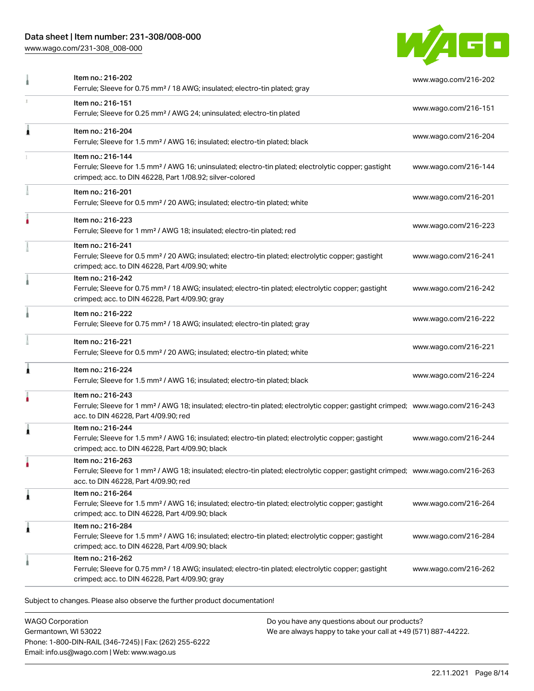[www.wago.com/231-308\\_008-000](http://www.wago.com/231-308_008-000)



|   | Item no.: 216-202<br>Ferrule; Sleeve for 0.75 mm <sup>2</sup> / 18 AWG; insulated; electro-tin plated; gray                                                                                             | www.wago.com/216-202 |
|---|---------------------------------------------------------------------------------------------------------------------------------------------------------------------------------------------------------|----------------------|
|   | Item no.: 216-151<br>Ferrule; Sleeve for 0.25 mm <sup>2</sup> / AWG 24; uninsulated; electro-tin plated                                                                                                 | www.wago.com/216-151 |
| 1 | Item no.: 216-204<br>Ferrule; Sleeve for 1.5 mm <sup>2</sup> / AWG 16; insulated; electro-tin plated; black                                                                                             | www.wago.com/216-204 |
|   | Item no.: 216-144<br>Ferrule; Sleeve for 1.5 mm <sup>2</sup> / AWG 16; uninsulated; electro-tin plated; electrolytic copper; gastight<br>crimped; acc. to DIN 46228, Part 1/08.92; silver-colored       | www.wago.com/216-144 |
|   | Item no.: 216-201<br>Ferrule; Sleeve for 0.5 mm <sup>2</sup> / 20 AWG; insulated; electro-tin plated; white                                                                                             | www.wago.com/216-201 |
| ۸ | Item no.: 216-223<br>Ferrule; Sleeve for 1 mm <sup>2</sup> / AWG 18; insulated; electro-tin plated; red                                                                                                 | www.wago.com/216-223 |
|   | Item no.: 216-241<br>Ferrule; Sleeve for 0.5 mm <sup>2</sup> / 20 AWG; insulated; electro-tin plated; electrolytic copper; gastight<br>crimped; acc. to DIN 46228, Part 4/09.90; white                  | www.wago.com/216-241 |
|   | Item no.: 216-242<br>Ferrule; Sleeve for 0.75 mm <sup>2</sup> / 18 AWG; insulated; electro-tin plated; electrolytic copper; gastight<br>crimped; acc. to DIN 46228, Part 4/09.90; gray                  | www.wago.com/216-242 |
|   | Item no.: 216-222<br>Ferrule; Sleeve for 0.75 mm <sup>2</sup> / 18 AWG; insulated; electro-tin plated; gray                                                                                             | www.wago.com/216-222 |
|   | Item no.: 216-221<br>Ferrule; Sleeve for 0.5 mm <sup>2</sup> / 20 AWG; insulated; electro-tin plated; white                                                                                             | www.wago.com/216-221 |
|   | Item no.: 216-224<br>Ferrule; Sleeve for 1.5 mm <sup>2</sup> / AWG 16; insulated; electro-tin plated; black                                                                                             | www.wago.com/216-224 |
|   | Item no.: 216-243<br>Ferrule; Sleeve for 1 mm <sup>2</sup> / AWG 18; insulated; electro-tin plated; electrolytic copper; gastight crimped; www.wago.com/216-243<br>acc. to DIN 46228, Part 4/09.90; red |                      |
| 1 | Item no.: 216-244<br>Ferrule; Sleeve for 1.5 mm <sup>2</sup> / AWG 16; insulated; electro-tin plated; electrolytic copper; gastight<br>crimped; acc. to DIN 46228, Part 4/09.90; black                  | www.wago.com/216-244 |
|   | Item no.: 216-263<br>Ferrule; Sleeve for 1 mm <sup>2</sup> / AWG 18; insulated; electro-tin plated; electrolytic copper; gastight crimped; www.wago.com/216-263<br>acc. to DIN 46228, Part 4/09.90; red |                      |
| 1 | Item no.: 216-264<br>Ferrule; Sleeve for 1.5 mm <sup>2</sup> / AWG 16; insulated; electro-tin plated; electrolytic copper; gastight<br>crimped; acc. to DIN 46228, Part 4/09.90; black                  | www.wago.com/216-264 |
| 1 | Item no.: 216-284<br>Ferrule; Sleeve for 1.5 mm <sup>2</sup> / AWG 16; insulated; electro-tin plated; electrolytic copper; gastight<br>crimped; acc. to DIN 46228, Part 4/09.90; black                  | www.wago.com/216-284 |
|   | Item no.: 216-262<br>Ferrule; Sleeve for 0.75 mm <sup>2</sup> / 18 AWG; insulated; electro-tin plated; electrolytic copper; gastight<br>crimped; acc. to DIN 46228, Part 4/09.90; gray                  | www.wago.com/216-262 |

WAGO Corporation Germantown, WI 53022 Phone: 1-800-DIN-RAIL (346-7245) | Fax: (262) 255-6222 Email: info.us@wago.com | Web: www.wago.us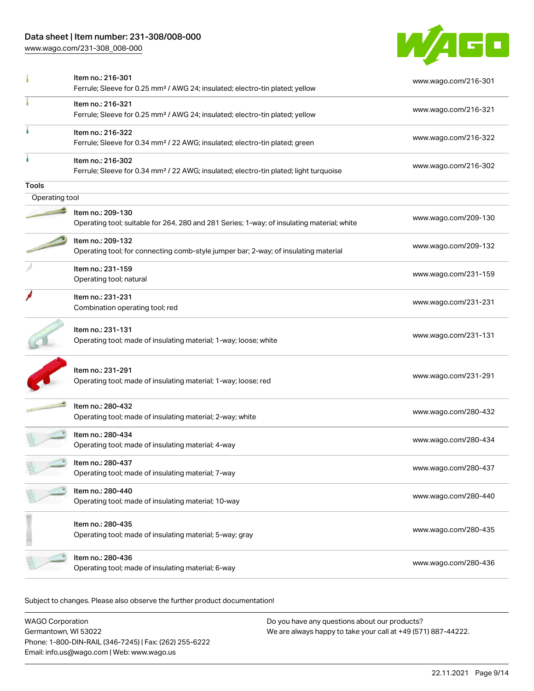[www.wago.com/231-308\\_008-000](http://www.wago.com/231-308_008-000)



|                | Item no.: 216-301<br>Ferrule; Sleeve for 0.25 mm <sup>2</sup> / AWG 24; insulated; electro-tin plated; yellow          | www.wago.com/216-301 |
|----------------|------------------------------------------------------------------------------------------------------------------------|----------------------|
|                | Item no.: 216-321<br>Ferrule; Sleeve for 0.25 mm <sup>2</sup> / AWG 24; insulated; electro-tin plated; yellow          | www.wago.com/216-321 |
|                | Item no.: 216-322<br>Ferrule; Sleeve for 0.34 mm <sup>2</sup> / 22 AWG; insulated; electro-tin plated; green           | www.wago.com/216-322 |
|                | Item no.: 216-302<br>Ferrule; Sleeve for 0.34 mm <sup>2</sup> / 22 AWG; insulated; electro-tin plated; light turquoise | www.wago.com/216-302 |
| Tools          |                                                                                                                        |                      |
| Operating tool |                                                                                                                        |                      |
|                | Item no.: 209-130<br>Operating tool; suitable for 264, 280 and 281 Series; 1-way; of insulating material; white        | www.wago.com/209-130 |
|                | Item no.: 209-132<br>Operating tool; for connecting comb-style jumper bar; 2-way; of insulating material               | www.wago.com/209-132 |
|                | Item no.: 231-159<br>Operating tool; natural                                                                           | www.wago.com/231-159 |
|                | Item no.: 231-231<br>Combination operating tool; red                                                                   | www.wago.com/231-231 |
|                | Item no.: 231-131<br>Operating tool; made of insulating material; 1-way; loose; white                                  | www.wago.com/231-131 |
|                | Item no.: 231-291<br>Operating tool; made of insulating material; 1-way; loose; red                                    | www.wago.com/231-291 |
|                | Item no.: 280-432<br>Operating tool; made of insulating material; 2-way; white                                         | www.wago.com/280-432 |
|                | Item no.: 280-434<br>Operating tool; made of insulating material; 4-way                                                | www.wago.com/280-434 |
|                | Item no.: 280-437<br>Operating tool; made of insulating material; 7-way                                                | www.wago.com/280-437 |
|                | Item no.: 280-440<br>Operating tool; made of insulating material; 10-way                                               | www.wago.com/280-440 |
|                | Item no.: 280-435<br>Operating tool; made of insulating material; 5-way; gray                                          | www.wago.com/280-435 |
|                | Item no.: 280-436<br>Operating tool; made of insulating material; 6-way                                                | www.wago.com/280-436 |
|                |                                                                                                                        |                      |

Subject to changes. Please also observe the further product documentation!

WAGO Corporation Germantown, WI 53022 Phone: 1-800-DIN-RAIL (346-7245) | Fax: (262) 255-6222 Email: info.us@wago.com | Web: www.wago.us Do you have any questions about our products? We are always happy to take your call at +49 (571) 887-44222.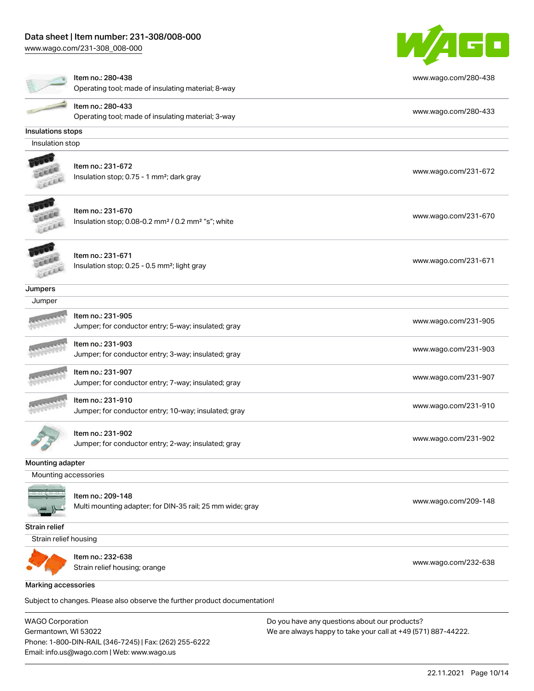[www.wago.com/231-308\\_008-000](http://www.wago.com/231-308_008-000)



|                            | Item no.: 280-438<br>Operating tool; made of insulating material; 8-way                         | www.wago.com/280-438 |
|----------------------------|-------------------------------------------------------------------------------------------------|----------------------|
|                            | Item no.: 280-433<br>Operating tool; made of insulating material; 3-way                         | www.wago.com/280-433 |
| Insulations stops          |                                                                                                 |                      |
| Insulation stop            |                                                                                                 |                      |
|                            | Item no.: 231-672<br>Insulation stop; 0.75 - 1 mm <sup>2</sup> ; dark gray                      | www.wago.com/231-672 |
|                            | Item no.: 231-670<br>Insulation stop; 0.08-0.2 mm <sup>2</sup> / 0.2 mm <sup>2</sup> "s"; white | www.wago.com/231-670 |
|                            | Item no.: 231-671<br>Insulation stop; 0.25 - 0.5 mm <sup>2</sup> ; light gray                   | www.wago.com/231-671 |
| Jumpers                    |                                                                                                 |                      |
| Jumper                     |                                                                                                 |                      |
|                            | Item no.: 231-905<br>Jumper; for conductor entry; 5-way; insulated; gray                        | www.wago.com/231-905 |
|                            | Item no.: 231-903<br>Jumper; for conductor entry; 3-way; insulated; gray                        | www.wago.com/231-903 |
|                            | Item no.: 231-907<br>Jumper; for conductor entry; 7-way; insulated; gray                        | www.wago.com/231-907 |
|                            | Item no.: 231-910<br>Jumper; for conductor entry; 10-way; insulated; gray                       | www.wago.com/231-910 |
|                            | Item no.: 231-902<br>Jumper; for conductor entry; 2-way; insulated; gray                        | www.wago.com/231-902 |
| Mounting adapter           |                                                                                                 |                      |
| Mounting accessories       |                                                                                                 |                      |
|                            | Item no.: 209-148<br>Multi mounting adapter; for DIN-35 rail; 25 mm wide; gray                  | www.wago.com/209-148 |
| Strain relief              |                                                                                                 |                      |
| Strain relief housing      |                                                                                                 |                      |
|                            | Item no.: 232-638<br>Strain relief housing; orange                                              | www.wago.com/232-638 |
| <b>Marking accessories</b> |                                                                                                 |                      |
|                            | Subject to changes. Please also observe the further product documentation!                      |                      |

WAGO Corporation Germantown, WI 53022 Phone: 1-800-DIN-RAIL (346-7245) | Fax: (262) 255-6222 Email: info.us@wago.com | Web: www.wago.us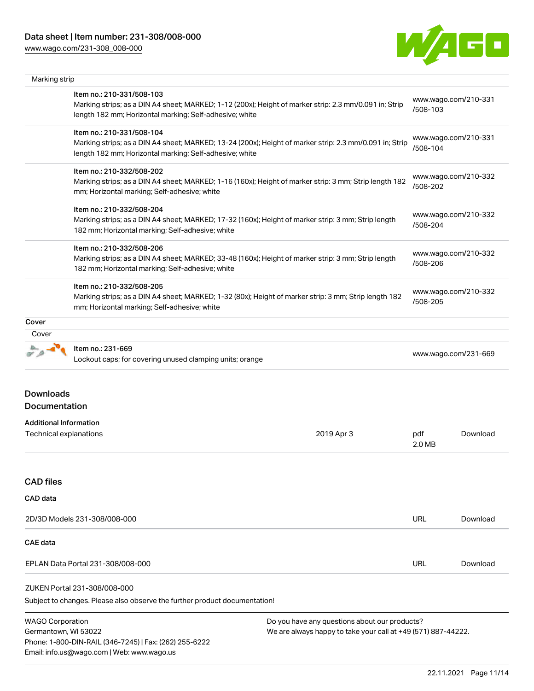Email: info.us@wago.com | Web: www.wago.us

[www.wago.com/231-308\\_008-000](http://www.wago.com/231-308_008-000)



| Marking strip                                           |                                                                                                                                                                                                                                                                                                                                                                            |                                                                                                                |                                                                      |                                  |  |
|---------------------------------------------------------|----------------------------------------------------------------------------------------------------------------------------------------------------------------------------------------------------------------------------------------------------------------------------------------------------------------------------------------------------------------------------|----------------------------------------------------------------------------------------------------------------|----------------------------------------------------------------------|----------------------------------|--|
|                                                         | Item no.: 210-331/508-103<br>Marking strips; as a DIN A4 sheet; MARKED; 1-12 (200x); Height of marker strip: 2.3 mm/0.091 in; Strip<br>length 182 mm; Horizontal marking; Self-adhesive; white                                                                                                                                                                             |                                                                                                                | /508-103                                                             | www.wago.com/210-331             |  |
|                                                         | Item no.: 210-331/508-104<br>Marking strips; as a DIN A4 sheet; MARKED; 13-24 (200x); Height of marker strip: 2.3 mm/0.091 in; Strip<br>length 182 mm; Horizontal marking; Self-adhesive; white                                                                                                                                                                            |                                                                                                                | /508-104                                                             | www.wago.com/210-331             |  |
|                                                         | Item no.: 210-332/508-202<br>mm; Horizontal marking; Self-adhesive; white                                                                                                                                                                                                                                                                                                  | Marking strips; as a DIN A4 sheet; MARKED; 1-16 (160x); Height of marker strip: 3 mm; Strip length 182         |                                                                      | www.wago.com/210-332<br>/508-202 |  |
|                                                         | Item no.: 210-332/508-204<br>Marking strips; as a DIN A4 sheet; MARKED; 17-32 (160x); Height of marker strip: 3 mm; Strip length<br>182 mm; Horizontal marking; Self-adhesive; white                                                                                                                                                                                       |                                                                                                                | www.wago.com/210-332<br>/508-204                                     |                                  |  |
|                                                         | Item no.: 210-332/508-206<br>Marking strips; as a DIN A4 sheet; MARKED; 33-48 (160x); Height of marker strip: 3 mm; Strip length<br>182 mm; Horizontal marking; Self-adhesive; white<br>Item no.: 210-332/508-205<br>Marking strips; as a DIN A4 sheet; MARKED; 1-32 (80x); Height of marker strip: 3 mm; Strip length 182<br>mm; Horizontal marking; Self-adhesive; white |                                                                                                                | www.wago.com/210-332<br>/508-206<br>www.wago.com/210-332<br>/508-205 |                                  |  |
|                                                         |                                                                                                                                                                                                                                                                                                                                                                            |                                                                                                                |                                                                      |                                  |  |
| Cover                                                   |                                                                                                                                                                                                                                                                                                                                                                            |                                                                                                                |                                                                      |                                  |  |
| Cover                                                   |                                                                                                                                                                                                                                                                                                                                                                            |                                                                                                                |                                                                      |                                  |  |
|                                                         | Item no.: 231-669<br>Lockout caps; for covering unused clamping units; orange                                                                                                                                                                                                                                                                                              |                                                                                                                | www.wago.com/231-669                                                 |                                  |  |
| <b>Downloads</b><br>Documentation                       |                                                                                                                                                                                                                                                                                                                                                                            |                                                                                                                |                                                                      |                                  |  |
| <b>Additional Information</b><br>Technical explanations |                                                                                                                                                                                                                                                                                                                                                                            | 2019 Apr 3                                                                                                     | pdf<br>2.0 MB                                                        | Download                         |  |
| <b>CAD</b> files                                        |                                                                                                                                                                                                                                                                                                                                                                            |                                                                                                                |                                                                      |                                  |  |
| CAD data                                                |                                                                                                                                                                                                                                                                                                                                                                            |                                                                                                                |                                                                      |                                  |  |
|                                                         | 2D/3D Models 231-308/008-000                                                                                                                                                                                                                                                                                                                                               |                                                                                                                | URL                                                                  | Download                         |  |
| <b>CAE</b> data                                         |                                                                                                                                                                                                                                                                                                                                                                            |                                                                                                                |                                                                      |                                  |  |
|                                                         | EPLAN Data Portal 231-308/008-000                                                                                                                                                                                                                                                                                                                                          |                                                                                                                | URL                                                                  | Download                         |  |
|                                                         | ZUKEN Portal 231-308/008-000<br>Subject to changes. Please also observe the further product documentation!                                                                                                                                                                                                                                                                 |                                                                                                                |                                                                      |                                  |  |
| <b>WAGO Corporation</b><br>Germantown, WI 53022         | Phone: 1-800-DIN-RAIL (346-7245)   Fax: (262) 255-6222                                                                                                                                                                                                                                                                                                                     | Do you have any questions about our products?<br>We are always happy to take your call at +49 (571) 887-44222. |                                                                      |                                  |  |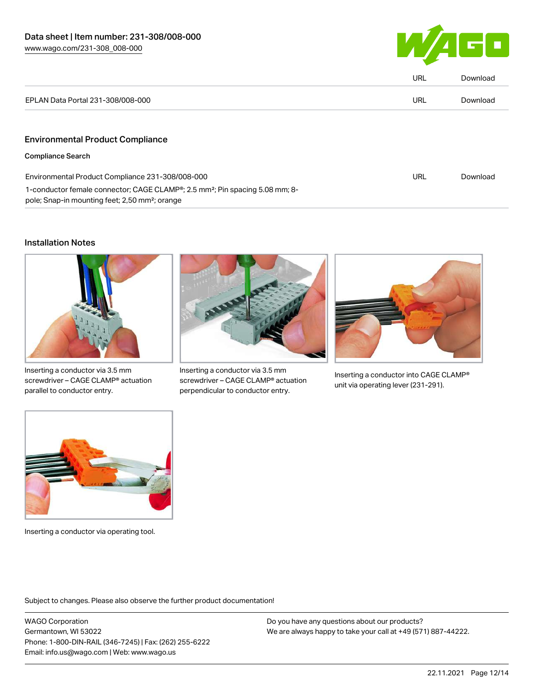

|                                                                                                                                                                     | <b>URL</b> | Download |
|---------------------------------------------------------------------------------------------------------------------------------------------------------------------|------------|----------|
| EPLAN Data Portal 231-308/008-000                                                                                                                                   | <b>URL</b> | Download |
|                                                                                                                                                                     |            |          |
| <b>Environmental Product Compliance</b>                                                                                                                             |            |          |
| <b>Compliance Search</b>                                                                                                                                            |            |          |
| Environmental Product Compliance 231-308/008-000                                                                                                                    |            | Download |
| 1-conductor female connector; CAGE CLAMP <sup>®</sup> ; 2.5 mm <sup>2</sup> ; Pin spacing 5.08 mm; 8-<br>pole; Snap-in mounting feet; 2,50 mm <sup>2</sup> ; orange |            |          |

### Installation Notes



Inserting a conductor via 3.5 mm screwdriver – CAGE CLAMP® actuation parallel to conductor entry.



Inserting a conductor via 3.5 mm screwdriver – CAGE CLAMP® actuation perpendicular to conductor entry.



Inserting a conductor into CAGE CLAMP® unit via operating lever (231-291).



Inserting a conductor via operating tool.

Subject to changes. Please also observe the further product documentation!

WAGO Corporation Germantown, WI 53022 Phone: 1-800-DIN-RAIL (346-7245) | Fax: (262) 255-6222 Email: info.us@wago.com | Web: www.wago.us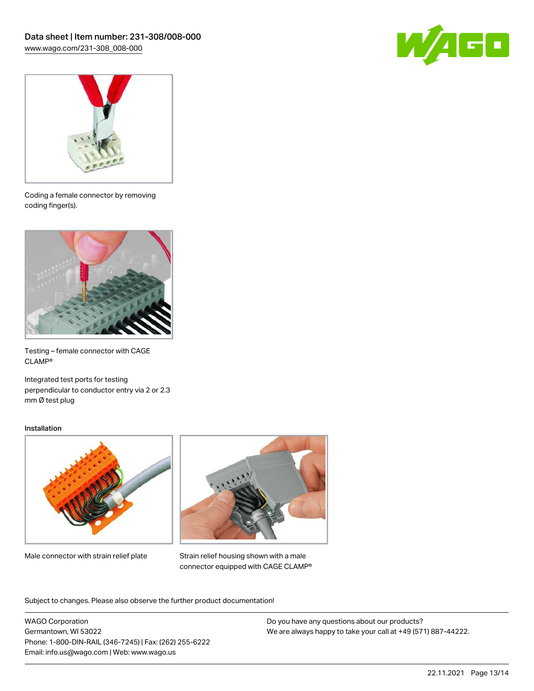



Coding a female connector by removing coding finger(s).



Testing – female connector with CAGE CLAMP®

Integrated test ports for testing perpendicular to conductor entry via 2 or 2.3 mm Ø test plug

### Installation



Male connector with strain relief plate



Strain relief housing shown with a male connector equipped with CAGE CLAMP®

Subject to changes. Please also observe the further product documentation!

WAGO Corporation Germantown, WI 53022 Phone: 1-800-DIN-RAIL (346-7245) | Fax: (262) 255-6222 Email: info.us@wago.com | Web: www.wago.us